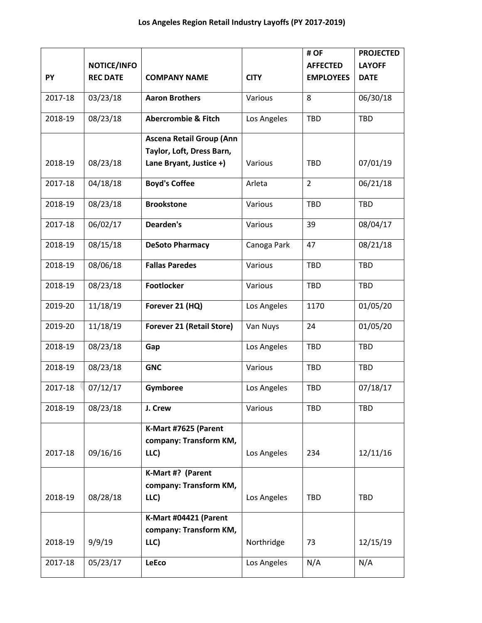|         |                    |                                                              |             | # OF             | <b>PROJECTED</b> |
|---------|--------------------|--------------------------------------------------------------|-------------|------------------|------------------|
|         | <b>NOTICE/INFO</b> |                                                              |             | <b>AFFECTED</b>  | <b>LAYOFF</b>    |
| PY      | <b>REC DATE</b>    | <b>COMPANY NAME</b>                                          | <b>CITY</b> | <b>EMPLOYEES</b> | <b>DATE</b>      |
| 2017-18 | 03/23/18           | <b>Aaron Brothers</b>                                        | Various     | 8                | 06/30/18         |
| 2018-19 | 08/23/18           | <b>Abercrombie &amp; Fitch</b>                               | Los Angeles | TBD              | <b>TBD</b>       |
|         |                    | <b>Ascena Retail Group (Ann</b><br>Taylor, Loft, Dress Barn, |             |                  |                  |
| 2018-19 | 08/23/18           | Lane Bryant, Justice +)                                      | Various     | <b>TBD</b>       | 07/01/19         |
| 2017-18 | 04/18/18           | <b>Boyd's Coffee</b>                                         | Arleta      | $\overline{2}$   | 06/21/18         |
| 2018-19 | 08/23/18           | <b>Brookstone</b>                                            | Various     | TBD              | <b>TBD</b>       |
| 2017-18 | 06/02/17           | Dearden's                                                    | Various     | 39               | 08/04/17         |
| 2018-19 | 08/15/18           | <b>DeSoto Pharmacy</b>                                       | Canoga Park | 47               | 08/21/18         |
| 2018-19 | 08/06/18           | <b>Fallas Paredes</b>                                        | Various     | <b>TBD</b>       | <b>TBD</b>       |
| 2018-19 | 08/23/18           | Footlocker                                                   | Various     | <b>TBD</b>       | <b>TBD</b>       |
| 2019-20 | 11/18/19           | Forever 21 (HQ)                                              | Los Angeles | 1170             | 01/05/20         |
| 2019-20 | 11/18/19           | <b>Forever 21 (Retail Store)</b>                             | Van Nuys    | 24               | 01/05/20         |
| 2018-19 | 08/23/18           | Gap                                                          | Los Angeles | TBD              | <b>TBD</b>       |
| 2018-19 | 08/23/18           | <b>GNC</b>                                                   | Various     | <b>TBD</b>       | <b>TBD</b>       |
| 2017-18 | 07/12/17           | Gymboree                                                     | Los Angeles | TBD              | 07/18/17         |
| 2018-19 | 08/23/18           | J. Crew                                                      | Various     | <b>TBD</b>       | <b>TBD</b>       |
|         |                    | K-Mart #7625 (Parent                                         |             |                  |                  |
|         |                    | company: Transform KM,                                       |             |                  |                  |
| 2017-18 | 09/16/16           | LLC)                                                         | Los Angeles | 234              | 12/11/16         |
|         |                    | K-Mart #? (Parent                                            |             |                  |                  |
| 2018-19 | 08/28/18           | company: Transform KM,<br>LLC)                               | Los Angeles | TBD              | TBD              |
|         |                    | K-Mart #04421 (Parent                                        |             |                  |                  |
|         |                    | company: Transform KM,                                       |             |                  |                  |
| 2018-19 | 9/9/19             | LLC)                                                         | Northridge  | 73               | 12/15/19         |
| 2017-18 | 05/23/17           | LeEco                                                        | Los Angeles | N/A              | N/A              |